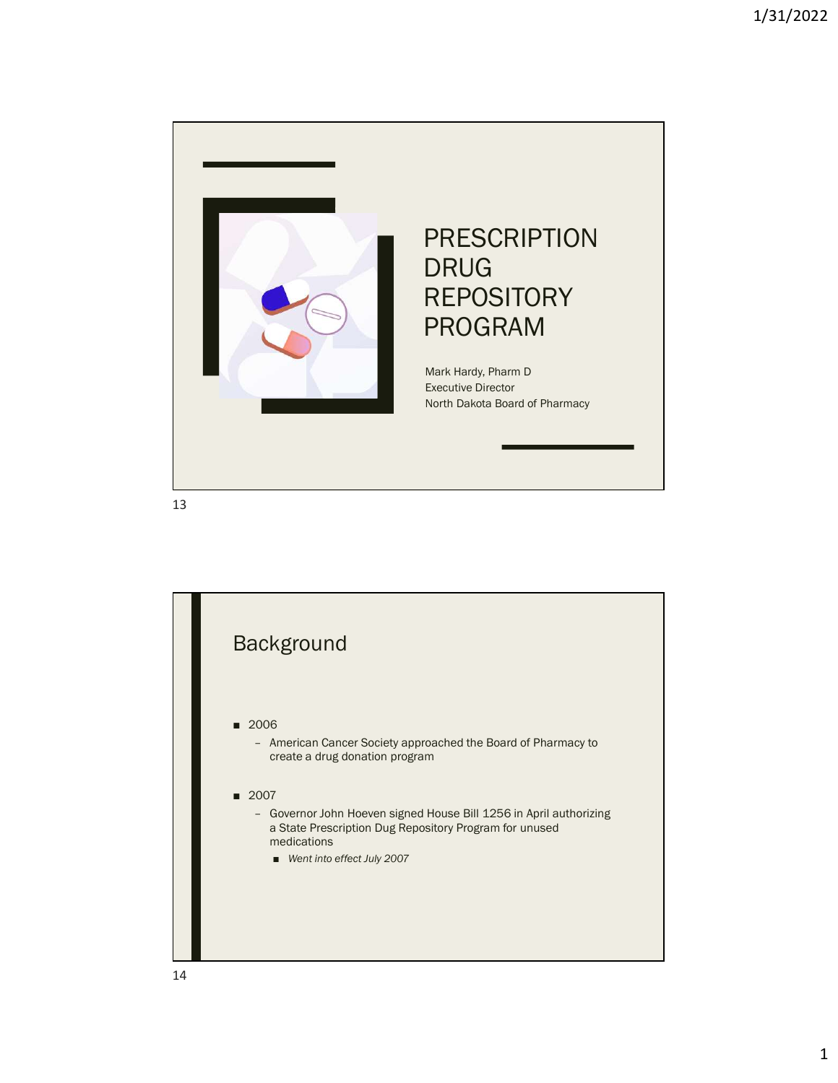

13

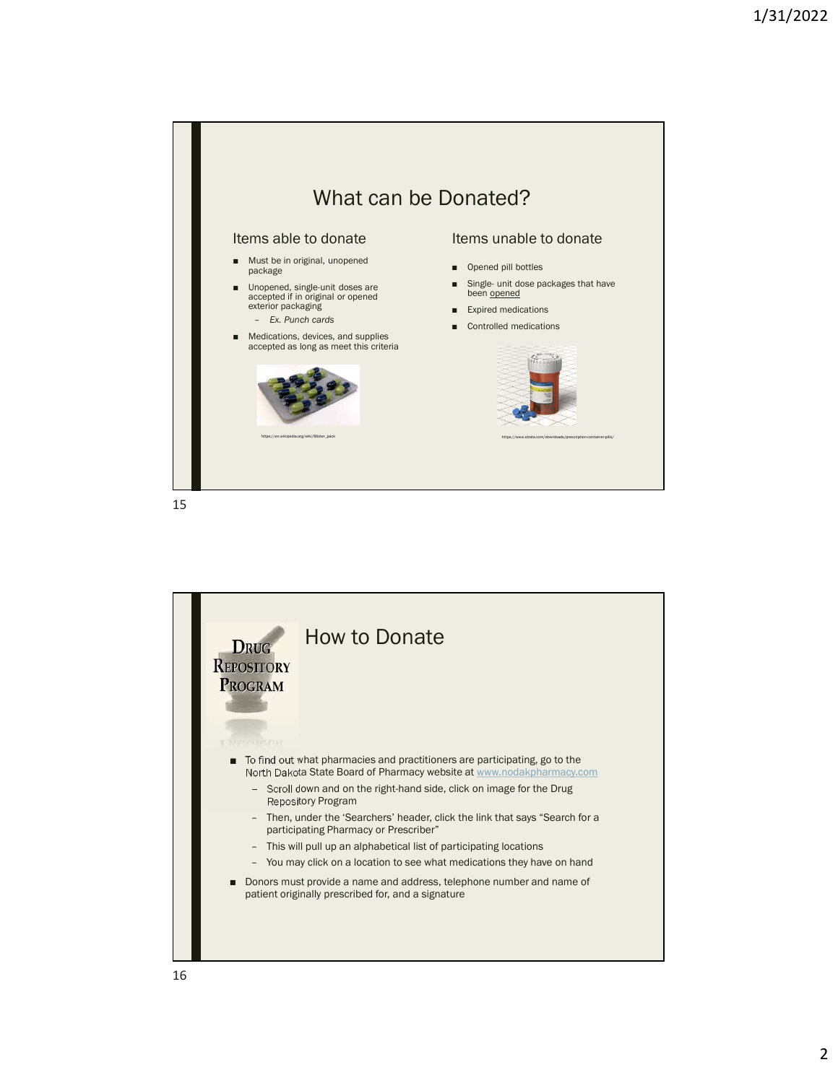

15